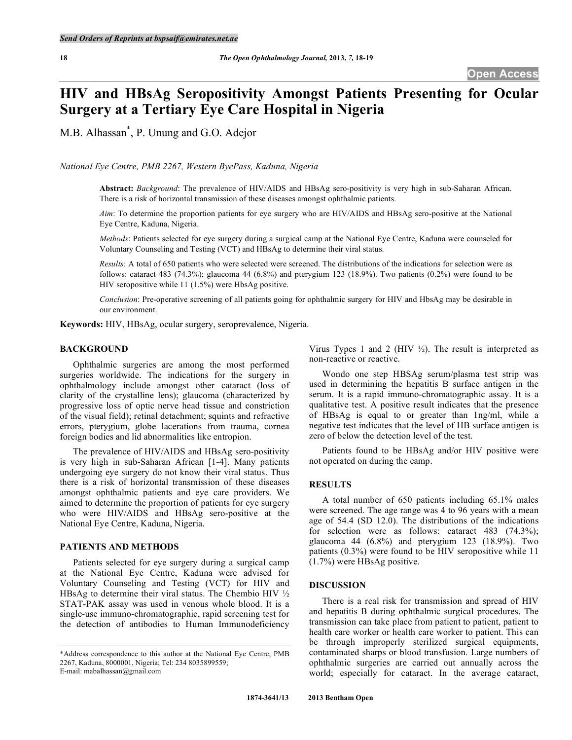# **HIV and HBsAg Seropositivity Amongst Patients Presenting for Ocular Surgery at a Tertiary Eye Care Hospital in Nigeria**

M.B. Alhassan\* , P. Unung and G.O. Adejor

*National Eye Centre, PMB 2267, Western ByePass, Kaduna, Nigeria* 

**Abstract:** *Background*: The prevalence of HIV/AIDS and HBsAg sero-positivity is very high in sub-Saharan African. There is a risk of horizontal transmission of these diseases amongst ophthalmic patients.

*Aim*: To determine the proportion patients for eye surgery who are HIV/AIDS and HBsAg sero-positive at the National Eye Centre, Kaduna, Nigeria.

*Methods*: Patients selected for eye surgery during a surgical camp at the National Eye Centre, Kaduna were counseled for Voluntary Counseling and Testing (VCT) and HBsAg to determine their viral status.

*Results*: A total of 650 patients who were selected were screened. The distributions of the indications for selection were as follows: cataract 483 (74.3%); glaucoma 44 (6.8%) and pterygium 123 (18.9%). Two patients (0.2%) were found to be HIV seropositive while 11 (1.5%) were HbsAg positive.

*Conclusion*: Pre-operative screening of all patients going for ophthalmic surgery for HIV and HbsAg may be desirable in our environment.

**Keywords:** HIV, HBsAg, ocular surgery, seroprevalence, Nigeria.

## **BACKGROUND**

 Ophthalmic surgeries are among the most performed surgeries worldwide. The indications for the surgery in ophthalmology include amongst other cataract (loss of clarity of the crystalline lens); glaucoma (characterized by progressive loss of optic nerve head tissue and constriction of the visual field); retinal detachment; squints and refractive errors, pterygium, globe lacerations from trauma, cornea foreign bodies and lid abnormalities like entropion.

 The prevalence of HIV/AIDS and HBsAg sero-positivity is very high in sub-Saharan African [1-4]. Many patients undergoing eye surgery do not know their viral status. Thus there is a risk of horizontal transmission of these diseases amongst ophthalmic patients and eye care providers. We aimed to determine the proportion of patients for eye surgery who were HIV/AIDS and HBsAg sero-positive at the National Eye Centre, Kaduna, Nigeria.

## **PATIENTS AND METHODS**

 Patients selected for eye surgery during a surgical camp at the National Eye Centre, Kaduna were advised for Voluntary Counseling and Testing (VCT) for HIV and HBsAg to determine their viral status. The Chembio HIV  $\frac{1}{2}$ STAT-PAK assay was used in venous whole blood. It is a single-use immuno-chromatographic, rapid screening test for the detection of antibodies to Human Immunodeficiency

Virus Types 1 and 2 (HIV  $\frac{1}{2}$ ). The result is interpreted as non-reactive or reactive.

 Wondo one step HBSAg serum/plasma test strip was used in determining the hepatitis B surface antigen in the serum. It is a rapid immuno-chromatographic assay. It is a qualitative test. A positive result indicates that the presence of HBsAg is equal to or greater than 1ng/ml, while a negative test indicates that the level of HB surface antigen is zero of below the detection level of the test.

 Patients found to be HBsAg and/or HIV positive were not operated on during the camp.

# **RESULTS**

 A total number of 650 patients including 65.1% males were screened. The age range was 4 to 96 years with a mean age of 54.4 (SD 12.0). The distributions of the indications for selection were as follows: cataract 483 (74.3%); glaucoma 44 (6.8%) and pterygium 123 (18.9%). Two patients (0.3%) were found to be HIV seropositive while 11 (1.7%) were HBsAg positive.

# **DISCUSSION**

 There is a real risk for transmission and spread of HIV and hepatitis B during ophthalmic surgical procedures. The transmission can take place from patient to patient, patient to health care worker or health care worker to patient. This can be through improperly sterilized surgical equipments, contaminated sharps or blood transfusion. Large numbers of ophthalmic surgeries are carried out annually across the world; especially for cataract. In the average cataract,

<sup>\*</sup>Address correspondence to this author at the National Eye Centre, PMB 2267, Kaduna, 8000001, Nigeria; Tel: 234 8035899559; E-mail: mabalhassan@gmail.com